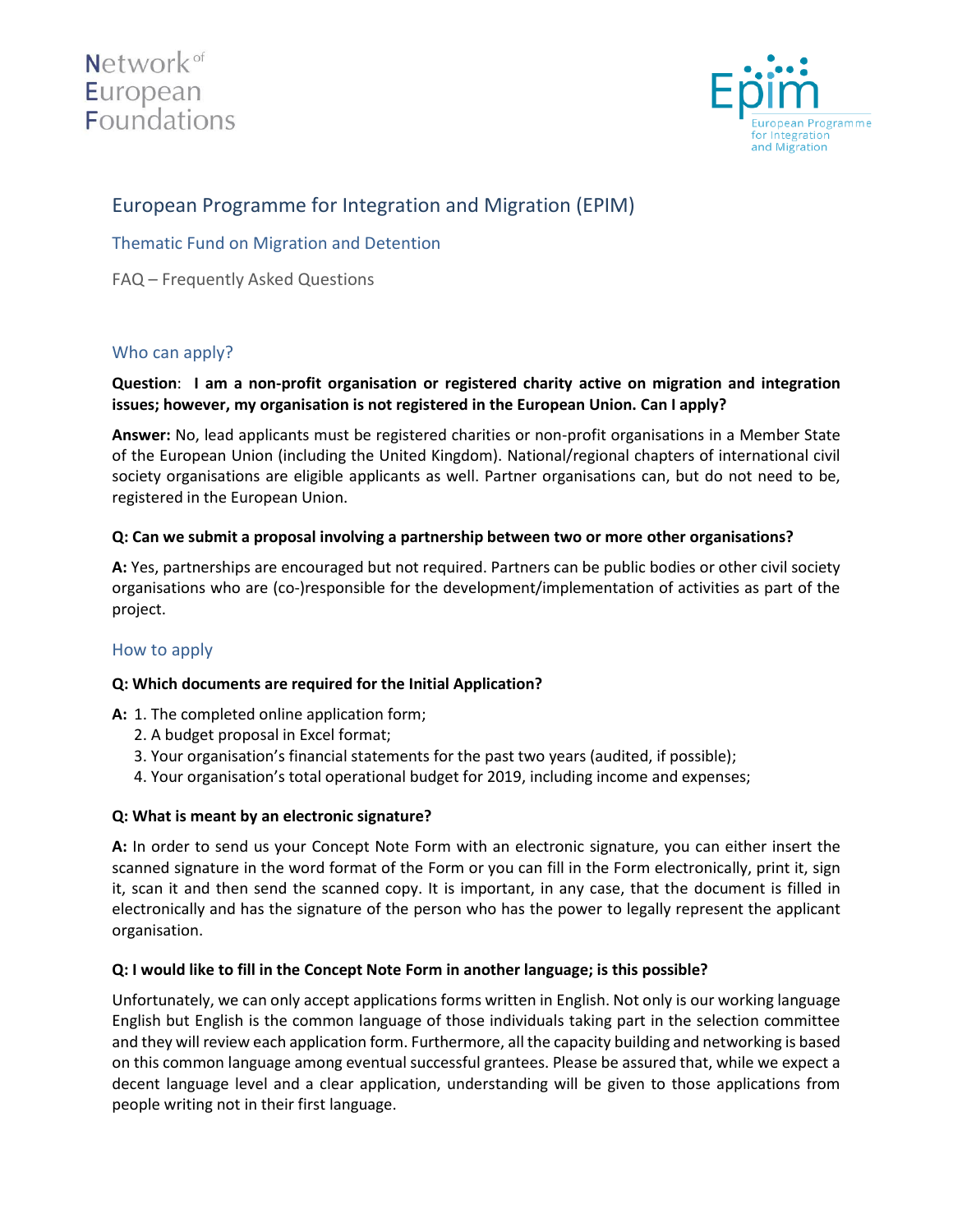



# European Programme for Integration and Migration (EPIM)

Thematic Fund on Migration and Detention

FAQ – Frequently Asked Questions

# Who can apply?

## **Question**: **I am a non-profit organisation or registered charity active on migration and integration issues; however, my organisation is not registered in the European Union. Can I apply?**

**Answer:** No, lead applicants must be registered charities or non-profit organisations in a Member State of the European Union (including the United Kingdom). National/regional chapters of international civil society organisations are eligible applicants as well. Partner organisations can, but do not need to be, registered in the European Union.

#### **Q: Can we submit a proposal involving a partnership between two or more other organisations?**

**A:** Yes, partnerships are encouraged but not required. Partners can be public bodies or other civil society organisations who are (co-)responsible for the development/implementation of activities as part of the project.

#### How to apply

#### **Q: Which documents are required for the Initial Application?**

- **A:** 1. The completed online application form;
	- 2. A budget proposal in Excel format;
	- 3. Your organisation's financial statements for the past two years (audited, if possible);
	- 4. Your organisation's total operational budget for 2019, including income and expenses;

#### **Q: What is meant by an electronic signature?**

**A:** In order to send us your Concept Note Form with an electronic signature, you can either insert the scanned signature in the word format of the Form or you can fill in the Form electronically, print it, sign it, scan it and then send the scanned copy. It is important, in any case, that the document is filled in electronically and has the signature of the person who has the power to legally represent the applicant organisation.

#### **Q: I would like to fill in the Concept Note Form in another language; is this possible?**

Unfortunately, we can only accept applications forms written in English. Not only is our working language English but English is the common language of those individuals taking part in the selection committee and they will review each application form. Furthermore, all the capacity building and networking is based on this common language among eventual successful grantees. Please be assured that, while we expect a decent language level and a clear application, understanding will be given to those applications from people writing not in their first language.